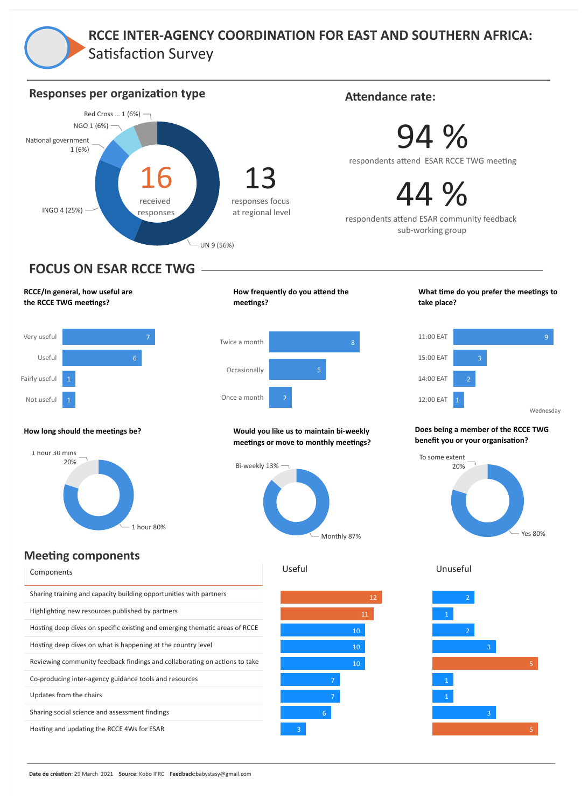# **RCCE INTER-AGENCY COORDINATION FOR EAST AND SOUTHERN AFRICA:** Satisfaction Survey

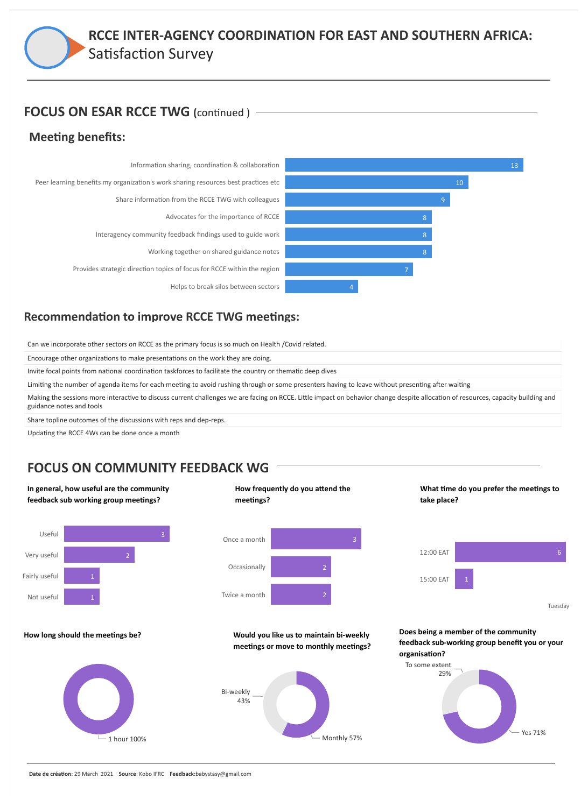## **RCCE INTER-AGENCY COORDINATION FOR EAST AND SOUTHERN AFRICA:** Satisfaction Survey

## **FOCUS ON ESAR RCCE TWG (continued ) -**

### **Meeting benefits:**





### **Recommendation to improve RCCE TWG meetings:**

Can we incorporate other sectors on RCCE as the primary focus is so much on Health /Covid related.

Encourage other organizations to make presentations on the work they are doing.

Invite focal points from national coordination taskforces to facilitate the country or thematic deep dives

Limiting the number of agenda items for each meeting to avoid rushing through or some presenters having to leave without presenting after waiting

Making the sessions more interactive to discuss current challenges we are facing on RCCE. Little impact on behavior change despite allocation of resources, capacity building and guidance notes and tools

Share topline outcomes of the discussions with reps and dep-reps.

Updating the RCCE 4Ws can be done once a month

# **FOCUS ON COMMUNITY FEEDBACK WG**

#### **In general, how useful are the community feedback** sub working group meetings?



**How** frequently do you attend the meetings?





**Does being a member of the community feedback sub-working group benefit you or your**



**How long should the meengs be? Would you like us to maintain bi-weekly**





**meetings** or move to monthly meetings?